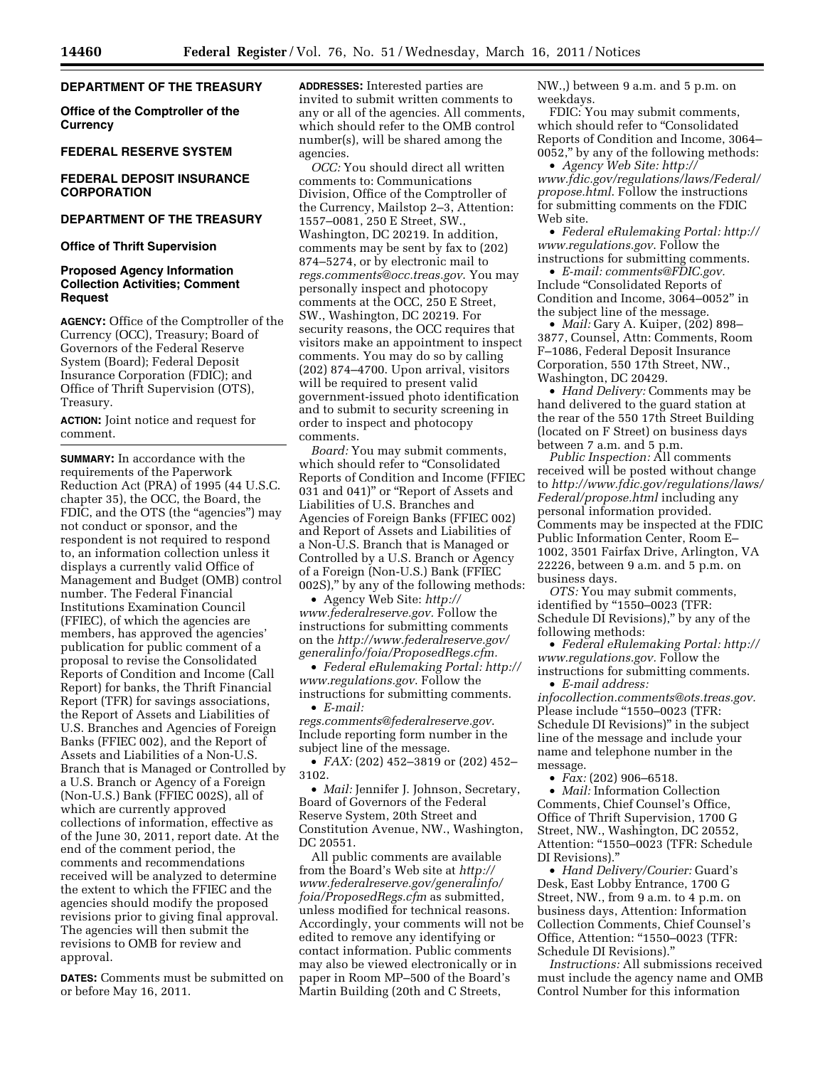# **DEPARTMENT OF THE TREASURY**

**Office of the Comptroller of the Currency** 

## **FEDERAL RESERVE SYSTEM**

# **FEDERAL DEPOSIT INSURANCE CORPORATION**

# **DEPARTMENT OF THE TREASURY**

**Office of Thrift Supervision** 

# **Proposed Agency Information Collection Activities; Comment Request**

**AGENCY:** Office of the Comptroller of the Currency (OCC), Treasury; Board of Governors of the Federal Reserve System (Board); Federal Deposit Insurance Corporation (FDIC); and Office of Thrift Supervision (OTS), Treasury.

**ACTION:** Joint notice and request for comment.

**SUMMARY:** In accordance with the requirements of the Paperwork Reduction Act (PRA) of 1995 (44 U.S.C. chapter 35), the OCC, the Board, the FDIC, and the OTS (the "agencies") may not conduct or sponsor, and the respondent is not required to respond to, an information collection unless it displays a currently valid Office of Management and Budget (OMB) control number. The Federal Financial Institutions Examination Council (FFIEC), of which the agencies are members, has approved the agencies' publication for public comment of a proposal to revise the Consolidated Reports of Condition and Income (Call Report) for banks, the Thrift Financial Report (TFR) for savings associations, the Report of Assets and Liabilities of U.S. Branches and Agencies of Foreign Banks (FFIEC 002), and the Report of Assets and Liabilities of a Non-U.S. Branch that is Managed or Controlled by a U.S. Branch or Agency of a Foreign (Non-U.S.) Bank (FFIEC 002S), all of which are currently approved collections of information, effective as of the June 30, 2011, report date. At the end of the comment period, the comments and recommendations received will be analyzed to determine the extent to which the FFIEC and the agencies should modify the proposed revisions prior to giving final approval. The agencies will then submit the revisions to OMB for review and approval.

**DATES:** Comments must be submitted on or before May 16, 2011.

**ADDRESSES:** Interested parties are invited to submit written comments to any or all of the agencies. All comments, which should refer to the OMB control number(s), will be shared among the agencies.

*OCC:* You should direct all written comments to: Communications Division, Office of the Comptroller of the Currency, Mailstop 2–3, Attention: 1557–0081, 250 E Street, SW., Washington, DC 20219. In addition, comments may be sent by fax to (202) 874–5274, or by electronic mail to *[regs.comments@occ.treas.gov](mailto:regs.comments@occ.treas.gov)*. You may personally inspect and photocopy comments at the OCC, 250 E Street, SW., Washington, DC 20219. For security reasons, the OCC requires that visitors make an appointment to inspect comments. You may do so by calling (202) 874–4700. Upon arrival, visitors will be required to present valid government-issued photo identification and to submit to security screening in order to inspect and photocopy comments.

*Board:* You may submit comments, which should refer to "Consolidated Reports of Condition and Income (FFIEC 031 and 041)'' or ''Report of Assets and Liabilities of U.S. Branches and Agencies of Foreign Banks (FFIEC 002) and Report of Assets and Liabilities of a Non-U.S. Branch that is Managed or Controlled by a U.S. Branch or Agency of a Foreign (Non-U.S.) Bank (FFIEC 002S),'' by any of the following methods:

• Agency Web Site: *[http://](http://www.federalreserve.gov) [www.federalreserve.gov.](http://www.federalreserve.gov)* Follow the instructions for submitting comments on the *[http://www.federalreserve.gov/](http://www.federalreserve.gov/generalinfo/foia/ProposedRegs.cfm) [generalinfo/foia/ProposedRegs.cfm.](http://www.federalreserve.gov/generalinfo/foia/ProposedRegs.cfm)* 

• *Federal eRulemaking Portal: [http://](http://www.regulations.gov)  [www.regulations.gov](http://www.regulations.gov)*. Follow the instructions for submitting comments. • *E-mail:* 

*[regs.comments@federalreserve.gov](mailto:regs.comments@federalreserve.gov)*. Include reporting form number in the subject line of the message.

• *FAX:* (202) 452–3819 or (202) 452– 3102.

• *Mail:* Jennifer J. Johnson, Secretary, Board of Governors of the Federal Reserve System, 20th Street and Constitution Avenue, NW., Washington, DC 20551.

All public comments are available from the Board's Web site at *[http://](http://www.federalreserve.gov/generalinfo/foia/ProposedRegs.cfm) [www.federalreserve.gov/generalinfo/](http://www.federalreserve.gov/generalinfo/foia/ProposedRegs.cfm) [foia/ProposedRegs.cfm](http://www.federalreserve.gov/generalinfo/foia/ProposedRegs.cfm)* as submitted, unless modified for technical reasons. Accordingly, your comments will not be edited to remove any identifying or contact information. Public comments may also be viewed electronically or in paper in Room MP–500 of the Board's Martin Building (20th and C Streets,

NW.,) between 9 a.m. and 5 p.m. on weekdays.

FDIC: You may submit comments, which should refer to "Consolidated Reports of Condition and Income, 3064– 0052,'' by any of the following methods:

• *Agency Web Site: [http://](http://www.fdic.gov/regulations/laws/Federal/propose.html)  [www.fdic.gov/regulations/laws/Federal/](http://www.fdic.gov/regulations/laws/Federal/propose.html)  [propose.html](http://www.fdic.gov/regulations/laws/Federal/propose.html)*. Follow the instructions for submitting comments on the FDIC Web site.

• *Federal eRulemaking Portal: [http://](http://www.regulations.gov)  [www.regulations.gov](http://www.regulations.gov)*. Follow the instructions for submitting comments.

• *E-mail: [comments@FDIC.gov.](mailto:comments@FDIC.gov)*  Include ''Consolidated Reports of Condition and Income, 3064–0052'' in the subject line of the message.

• *Mail:* Gary A. Kuiper, (202) 898– 3877, Counsel, Attn: Comments, Room F–1086, Federal Deposit Insurance Corporation, 550 17th Street, NW., Washington, DC 20429.

• *Hand Delivery:* Comments may be hand delivered to the guard station at the rear of the 550 17th Street Building (located on F Street) on business days between 7 a.m. and 5 p.m.

*Public Inspection:* All comments received will be posted without change to *[http://www.fdic.gov/regulations/laws/](http://www.fdic.gov/regulations/laws/Federal/propose.html)  [Federal/propose.html](http://www.fdic.gov/regulations/laws/Federal/propose.html)* including any personal information provided. Comments may be inspected at the FDIC Public Information Center, Room E– 1002, 3501 Fairfax Drive, Arlington, VA 22226, between 9 a.m. and 5 p.m. on business days.

*OTS:* You may submit comments, identified by "1550–0023 (TFR: Schedule DI Revisions),'' by any of the following methods:

• *Federal eRulemaking Portal: [http://](http://www.regulations.gov)  [www.regulations.gov.](http://www.regulations.gov)* Follow the instructions for submitting comments.

• *E-mail address: [infocollection.comments@ots.treas.gov.](mailto:infocollection.comments@ots.treas.gov)*  Please include "1550-0023 (TFR: Schedule DI Revisions)'' in the subject line of the message and include your name and telephone number in the message.

• *Fax:* (202) 906–6518.

• *Mail:* Information Collection Comments, Chief Counsel's Office, Office of Thrift Supervision, 1700 G Street, NW., Washington, DC 20552, Attention: "1550-0023 (TFR: Schedule DI Revisions).''

• *Hand Delivery/Courier:* Guard's Desk, East Lobby Entrance, 1700 G Street, NW., from 9 a.m. to 4 p.m. on business days, Attention: Information Collection Comments, Chief Counsel's Office, Attention: ''1550–0023 (TFR: Schedule DI Revisions).''

*Instructions:* All submissions received must include the agency name and OMB Control Number for this information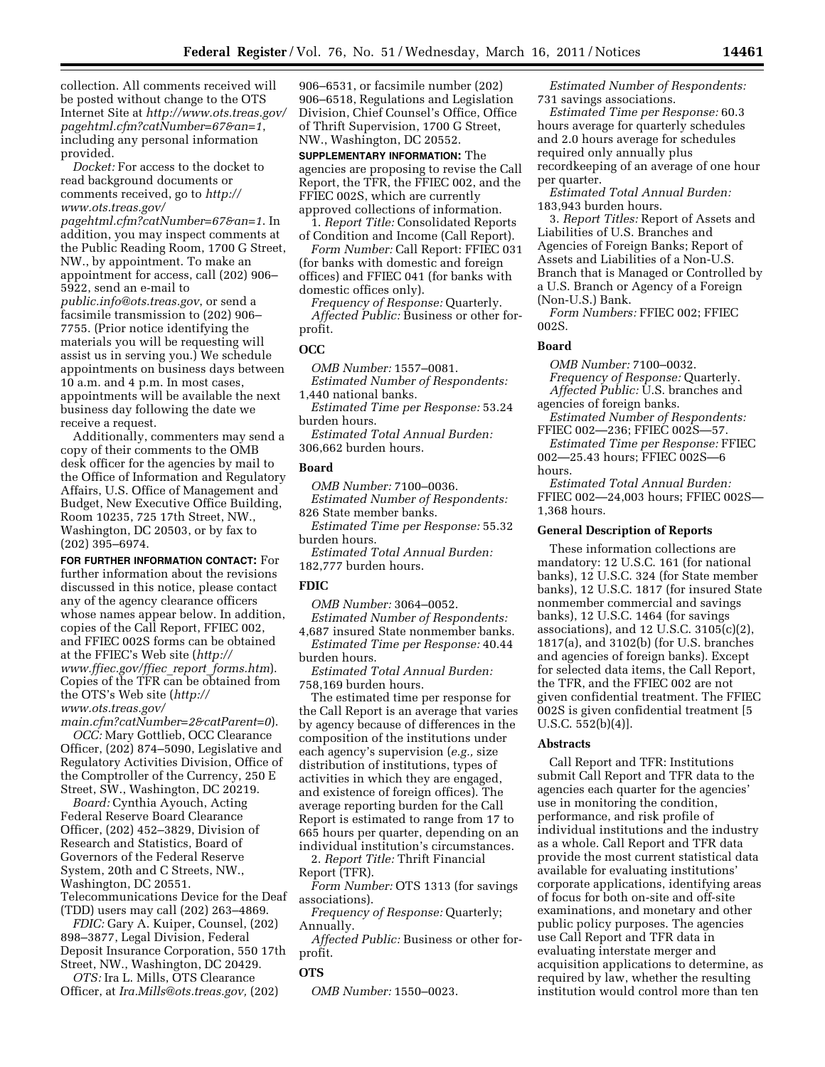collection. All comments received will be posted without change to the OTS Internet Site at *[http://www.ots.treas.gov/](http://www.ots.treas.gov/pagehtml.cfm?catNumber=67&an=1)  [pagehtml.cfm?catNumber=67&an=1](http://www.ots.treas.gov/pagehtml.cfm?catNumber=67&an=1)*, including any personal information provided.

*Docket:* For access to the docket to read background documents or comments received, go to *[http://](http://www.ots.treas.gov/pagehtml.cfm?catNumber=67&an=1)  [www.ots.treas.gov/](http://www.ots.treas.gov/pagehtml.cfm?catNumber=67&an=1)* 

*[pagehtml.cfm?catNumber=67&an=1](http://www.ots.treas.gov/pagehtml.cfm?catNumber=67&an=1)*. In addition, you may inspect comments at the Public Reading Room, 1700 G Street, NW., by appointment. To make an appointment for access, call (202) 906– 5922, send an e-mail to

*[public.info@ots.treas.gov](mailto:public.info@ots.treas.gov)*, or send a facsimile transmission to (202) 906– 7755. (Prior notice identifying the materials you will be requesting will assist us in serving you.) We schedule appointments on business days between 10 a.m. and 4 p.m. In most cases, appointments will be available the next business day following the date we receive a request.

Additionally, commenters may send a copy of their comments to the OMB desk officer for the agencies by mail to the Office of Information and Regulatory Affairs, U.S. Office of Management and Budget, New Executive Office Building, Room 10235, 725 17th Street, NW., Washington, DC 20503, or by fax to (202) 395–6974.

**FOR FURTHER INFORMATION CONTACT:** For further information about the revisions discussed in this notice, please contact any of the agency clearance officers whose names appear below. In addition, copies of the Call Report, FFIEC 002, and FFIEC 002S forms can be obtained at the FFIEC's Web site (*[http://](http://www.ffiec.gov/ffiec_report_forms.htm) [www.ffiec.gov/ffiec](http://www.ffiec.gov/ffiec_report_forms.htm)*\_*report*\_*forms.htm*). Copies of the TFR can be obtained from the OTS's Web site (*[http://](http://www.ots.treas.gov/main.cfm?catNumber=2&catParent=0) [www.ots.treas.gov/](http://www.ots.treas.gov/main.cfm?catNumber=2&catParent=0)* 

*[main.cfm?catNumber=2&catParent=0](http://www.ots.treas.gov/main.cfm?catNumber=2&catParent=0)*). *OCC:* Mary Gottlieb, OCC Clearance Officer, (202) 874–5090, Legislative and Regulatory Activities Division, Office of the Comptroller of the Currency, 250 E Street, SW., Washington, DC 20219.

*Board:* Cynthia Ayouch, Acting Federal Reserve Board Clearance Officer, (202) 452–3829, Division of Research and Statistics, Board of Governors of the Federal Reserve System, 20th and C Streets, NW., Washington, DC 20551. Telecommunications Device for the Deaf (TDD) users may call (202) 263–4869.

*FDIC:* Gary A. Kuiper, Counsel, (202) 898–3877, Legal Division, Federal Deposit Insurance Corporation, 550 17th Street, NW., Washington, DC 20429.

*OTS:* Ira L. Mills, OTS Clearance Officer, at *[Ira.Mills@ots.treas.gov,](mailto:Ira.Mills@ots.treas.gov)* (202)

906–6531, or facsimile number (202) 906–6518, Regulations and Legislation Division, Chief Counsel's Office, Office of Thrift Supervision, 1700 G Street, NW., Washington, DC 20552.

**SUPPLEMENTARY INFORMATION:** The agencies are proposing to revise the Call Report, the TFR, the FFIEC 002, and the FFIEC 002S, which are currently approved collections of information.

1. *Report Title:* Consolidated Reports of Condition and Income (Call Report).

*Form Number:* Call Report: FFIEC 031 (for banks with domestic and foreign offices) and FFIEC 041 (for banks with domestic offices only).

*Frequency of Response:* Quarterly. *Affected Public:* Business or other for-

profit.

# **OCC**

*OMB Number:* 1557–0081. *Estimated Number of Respondents:* 

1,440 national banks.

*Estimated Time per Response:* 53.24 burden hours.

*Estimated Total Annual Burden:*  306,662 burden hours.

#### **Board**

*OMB Number:* 7100–0036. *Estimated Number of Respondents:*  826 State member banks.

*Estimated Time per Response:* 55.32 burden hours.

*Estimated Total Annual Burden:*  182,777 burden hours.

## **FDIC**

*OMB Number:* 3064–0052.

*Estimated Number of Respondents:*  4,687 insured State nonmember banks.

*Estimated Time per Response:* 40.44 burden hours.

*Estimated Total Annual Burden:*  758,169 burden hours.

The estimated time per response for the Call Report is an average that varies by agency because of differences in the composition of the institutions under each agency's supervision (*e.g.,* size distribution of institutions, types of activities in which they are engaged, and existence of foreign offices). The average reporting burden for the Call Report is estimated to range from 17 to 665 hours per quarter, depending on an individual institution's circumstances.

2. *Report Title:* Thrift Financial Report (TFR).

*Form Number:* OTS 1313 (for savings associations).

*Frequency of Response:* Quarterly; Annually.

*Affected Public:* Business or other forprofit.

## **OTS**

*OMB Number:* 1550–0023.

*Estimated Number of Respondents:*  731 savings associations.

*Estimated Time per Response:* 60.3 hours average for quarterly schedules and 2.0 hours average for schedules required only annually plus recordkeeping of an average of one hour per quarter.

*Estimated Total Annual Burden:*  183,943 burden hours.

3. *Report Titles:* Report of Assets and Liabilities of U.S. Branches and Agencies of Foreign Banks; Report of Assets and Liabilities of a Non-U.S. Branch that is Managed or Controlled by a U.S. Branch or Agency of a Foreign (Non-U.S.) Bank.

*Form Numbers:* FFIEC 002; FFIEC 002S.

## **Board**

*OMB Number:* 7100–0032. *Frequency of Response:* Quarterly. *Affected Public:* U.S. branches and

agencies of foreign banks. *Estimated Number of Respondents:* 

FFIEC 002—236; FFIEC 002S—57. *Estimated Time per Response:* FFIEC

002—25.43 hours; FFIEC 002S—6 hours.

*Estimated Total Annual Burden:*  FFIEC 002—24,003 hours; FFIEC 002S— 1,368 hours.

### **General Description of Reports**

These information collections are mandatory: 12 U.S.C. 161 (for national banks), 12 U.S.C. 324 (for State member banks), 12 U.S.C. 1817 (for insured State nonmember commercial and savings banks), 12 U.S.C. 1464 (for savings associations), and 12 U.S.C. 3105(c)(2), 1817(a), and 3102(b) (for U.S. branches and agencies of foreign banks). Except for selected data items, the Call Report, the TFR, and the FFIEC 002 are not given confidential treatment. The FFIEC 002S is given confidential treatment [5 U.S.C. 552(b)(4)].

#### **Abstracts**

Call Report and TFR: Institutions submit Call Report and TFR data to the agencies each quarter for the agencies' use in monitoring the condition, performance, and risk profile of individual institutions and the industry as a whole. Call Report and TFR data provide the most current statistical data available for evaluating institutions' corporate applications, identifying areas of focus for both on-site and off-site examinations, and monetary and other public policy purposes. The agencies use Call Report and TFR data in evaluating interstate merger and acquisition applications to determine, as required by law, whether the resulting institution would control more than ten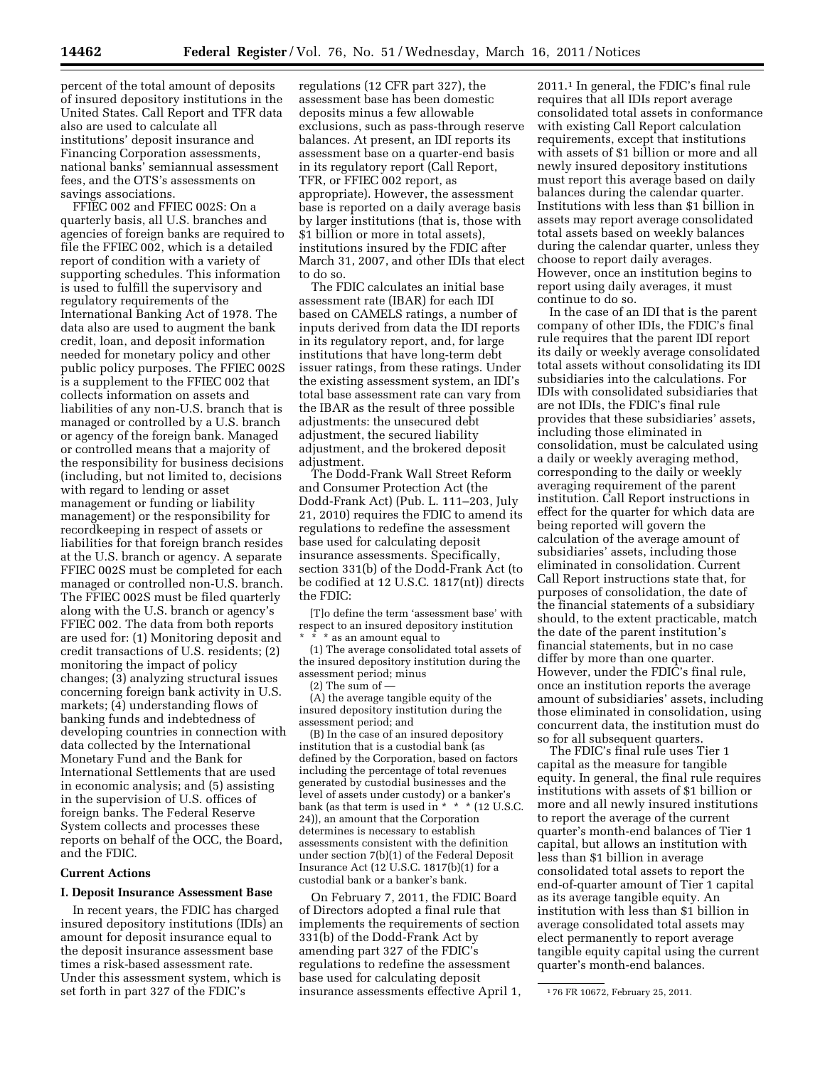percent of the total amount of deposits of insured depository institutions in the United States. Call Report and TFR data also are used to calculate all institutions' deposit insurance and Financing Corporation assessments, national banks' semiannual assessment fees, and the OTS's assessments on savings associations.

FFIEC 002 and FFIEC 002S: On a quarterly basis, all U.S. branches and agencies of foreign banks are required to file the FFIEC 002, which is a detailed report of condition with a variety of supporting schedules. This information is used to fulfill the supervisory and regulatory requirements of the International Banking Act of 1978. The data also are used to augment the bank credit, loan, and deposit information needed for monetary policy and other public policy purposes. The FFIEC 002S is a supplement to the FFIEC 002 that collects information on assets and liabilities of any non-U.S. branch that is managed or controlled by a U.S. branch or agency of the foreign bank. Managed or controlled means that a majority of the responsibility for business decisions (including, but not limited to, decisions with regard to lending or asset management or funding or liability management) or the responsibility for recordkeeping in respect of assets or liabilities for that foreign branch resides at the U.S. branch or agency. A separate FFIEC 002S must be completed for each managed or controlled non-U.S. branch. The FFIEC 002S must be filed quarterly along with the U.S. branch or agency's FFIEC 002. The data from both reports are used for: (1) Monitoring deposit and credit transactions of U.S. residents; (2) monitoring the impact of policy changes; (3) analyzing structural issues concerning foreign bank activity in U.S. markets; (4) understanding flows of banking funds and indebtedness of developing countries in connection with data collected by the International Monetary Fund and the Bank for International Settlements that are used in economic analysis; and (5) assisting in the supervision of U.S. offices of foreign banks. The Federal Reserve System collects and processes these reports on behalf of the OCC, the Board, and the FDIC.

## **Current Actions**

#### **I. Deposit Insurance Assessment Base**

In recent years, the FDIC has charged insured depository institutions (IDIs) an amount for deposit insurance equal to the deposit insurance assessment base times a risk-based assessment rate. Under this assessment system, which is set forth in part 327 of the FDIC's

regulations (12 CFR part 327), the assessment base has been domestic deposits minus a few allowable exclusions, such as pass-through reserve balances. At present, an IDI reports its assessment base on a quarter-end basis in its regulatory report (Call Report, TFR, or FFIEC 002 report, as appropriate). However, the assessment base is reported on a daily average basis by larger institutions (that is, those with \$1 billion or more in total assets), institutions insured by the FDIC after March 31, 2007, and other IDIs that elect to do so.

The FDIC calculates an initial base assessment rate (IBAR) for each IDI based on CAMELS ratings, a number of inputs derived from data the IDI reports in its regulatory report, and, for large institutions that have long-term debt issuer ratings, from these ratings. Under the existing assessment system, an IDI's total base assessment rate can vary from the IBAR as the result of three possible adjustments: the unsecured debt adjustment, the secured liability adjustment, and the brokered deposit adjustment.

The Dodd-Frank Wall Street Reform and Consumer Protection Act (the Dodd-Frank Act) (Pub. L. 111–203, July 21, 2010) requires the FDIC to amend its regulations to redefine the assessment base used for calculating deposit insurance assessments. Specifically, section 331(b) of the Dodd-Frank Act (to be codified at 12 U.S.C. 1817(nt)) directs the FDIC:

[T]o define the term 'assessment base' with respect to an insured depository institution  $^{\star}$  as an amount equal to

(1) The average consolidated total assets of the insured depository institution during the assessment period; minus (2) The sum of —

(A) the average tangible equity of the insured depository institution during the assessment period; and

(B) In the case of an insured depository institution that is a custodial bank (as defined by the Corporation, based on factors including the percentage of total revenues generated by custodial businesses and the level of assets under custody) or a banker's bank (as that term is used in  $* * * (12 \text{ U.S.C.})$ 24)), an amount that the Corporation determines is necessary to establish assessments consistent with the definition under section 7(b)(1) of the Federal Deposit Insurance Act (12 U.S.C. 1817(b)(1) for a custodial bank or a banker's bank.

On February 7, 2011, the FDIC Board of Directors adopted a final rule that implements the requirements of section 331(b) of the Dodd-Frank Act by amending part 327 of the FDIC's regulations to redefine the assessment base used for calculating deposit insurance assessments effective April 1,

2011.1 In general, the FDIC's final rule requires that all IDIs report average consolidated total assets in conformance with existing Call Report calculation requirements, except that institutions with assets of \$1 billion or more and all newly insured depository institutions must report this average based on daily balances during the calendar quarter. Institutions with less than \$1 billion in assets may report average consolidated total assets based on weekly balances during the calendar quarter, unless they choose to report daily averages. However, once an institution begins to report using daily averages, it must continue to do so.

In the case of an IDI that is the parent company of other IDIs, the FDIC's final rule requires that the parent IDI report its daily or weekly average consolidated total assets without consolidating its IDI subsidiaries into the calculations. For IDIs with consolidated subsidiaries that are not IDIs, the FDIC's final rule provides that these subsidiaries' assets, including those eliminated in consolidation, must be calculated using a daily or weekly averaging method, corresponding to the daily or weekly averaging requirement of the parent institution. Call Report instructions in effect for the quarter for which data are being reported will govern the calculation of the average amount of subsidiaries' assets, including those eliminated in consolidation. Current Call Report instructions state that, for purposes of consolidation, the date of the financial statements of a subsidiary should, to the extent practicable, match the date of the parent institution's financial statements, but in no case differ by more than one quarter. However, under the FDIC's final rule, once an institution reports the average amount of subsidiaries' assets, including those eliminated in consolidation, using concurrent data, the institution must do so for all subsequent quarters.

The FDIC's final rule uses Tier 1 capital as the measure for tangible equity. In general, the final rule requires institutions with assets of \$1 billion or more and all newly insured institutions to report the average of the current quarter's month-end balances of Tier 1 capital, but allows an institution with less than \$1 billion in average consolidated total assets to report the end-of-quarter amount of Tier 1 capital as its average tangible equity. An institution with less than \$1 billion in average consolidated total assets may elect permanently to report average tangible equity capital using the current quarter's month-end balances.

<sup>1</sup> 76 FR 10672, February 25, 2011.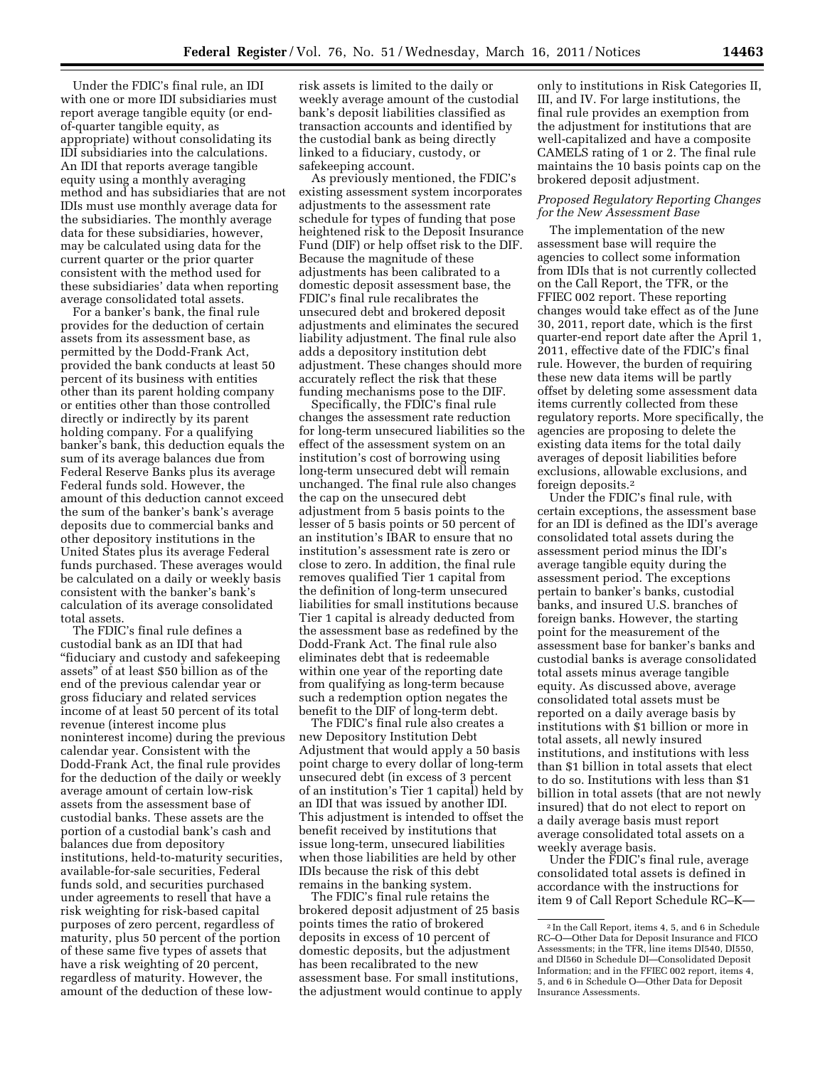Under the FDIC's final rule, an IDI with one or more IDI subsidiaries must report average tangible equity (or endof-quarter tangible equity, as appropriate) without consolidating its IDI subsidiaries into the calculations. An IDI that reports average tangible equity using a monthly averaging method and has subsidiaries that are not IDIs must use monthly average data for the subsidiaries. The monthly average data for these subsidiaries, however, may be calculated using data for the current quarter or the prior quarter consistent with the method used for these subsidiaries' data when reporting average consolidated total assets.

For a banker's bank, the final rule provides for the deduction of certain assets from its assessment base, as permitted by the Dodd-Frank Act, provided the bank conducts at least 50 percent of its business with entities other than its parent holding company or entities other than those controlled directly or indirectly by its parent holding company. For a qualifying banker's bank, this deduction equals the sum of its average balances due from Federal Reserve Banks plus its average Federal funds sold. However, the amount of this deduction cannot exceed the sum of the banker's bank's average deposits due to commercial banks and other depository institutions in the United States plus its average Federal funds purchased. These averages would be calculated on a daily or weekly basis consistent with the banker's bank's calculation of its average consolidated total assets.

The FDIC's final rule defines a custodial bank as an IDI that had ''fiduciary and custody and safekeeping assets'' of at least \$50 billion as of the end of the previous calendar year or gross fiduciary and related services income of at least 50 percent of its total revenue (interest income plus noninterest income) during the previous calendar year. Consistent with the Dodd-Frank Act, the final rule provides for the deduction of the daily or weekly average amount of certain low-risk assets from the assessment base of custodial banks. These assets are the portion of a custodial bank's cash and balances due from depository institutions, held-to-maturity securities, available-for-sale securities, Federal funds sold, and securities purchased under agreements to resell that have a risk weighting for risk-based capital purposes of zero percent, regardless of maturity, plus 50 percent of the portion of these same five types of assets that have a risk weighting of 20 percent, regardless of maturity. However, the amount of the deduction of these lowrisk assets is limited to the daily or weekly average amount of the custodial bank's deposit liabilities classified as transaction accounts and identified by the custodial bank as being directly linked to a fiduciary, custody, or safekeeping account.

As previously mentioned, the FDIC's existing assessment system incorporates adjustments to the assessment rate schedule for types of funding that pose heightened risk to the Deposit Insurance Fund (DIF) or help offset risk to the DIF. Because the magnitude of these adjustments has been calibrated to a domestic deposit assessment base, the FDIC's final rule recalibrates the unsecured debt and brokered deposit adjustments and eliminates the secured liability adjustment. The final rule also adds a depository institution debt adjustment. These changes should more accurately reflect the risk that these funding mechanisms pose to the DIF.

Specifically, the FDIC's final rule changes the assessment rate reduction for long-term unsecured liabilities so the effect of the assessment system on an institution's cost of borrowing using long-term unsecured debt will remain unchanged. The final rule also changes the cap on the unsecured debt adjustment from 5 basis points to the lesser of 5 basis points or 50 percent of an institution's IBAR to ensure that no institution's assessment rate is zero or close to zero. In addition, the final rule removes qualified Tier 1 capital from the definition of long-term unsecured liabilities for small institutions because Tier 1 capital is already deducted from the assessment base as redefined by the Dodd-Frank Act. The final rule also eliminates debt that is redeemable within one year of the reporting date from qualifying as long-term because such a redemption option negates the benefit to the DIF of long-term debt.

The FDIC's final rule also creates a new Depository Institution Debt Adjustment that would apply a 50 basis point charge to every dollar of long-term unsecured debt (in excess of 3 percent of an institution's Tier 1 capital) held by an IDI that was issued by another IDI. This adjustment is intended to offset the benefit received by institutions that issue long-term, unsecured liabilities when those liabilities are held by other IDIs because the risk of this debt remains in the banking system.

The FDIC's final rule retains the brokered deposit adjustment of 25 basis points times the ratio of brokered deposits in excess of 10 percent of domestic deposits, but the adjustment has been recalibrated to the new assessment base. For small institutions, the adjustment would continue to apply

only to institutions in Risk Categories II, III, and IV. For large institutions, the final rule provides an exemption from the adjustment for institutions that are well-capitalized and have a composite CAMELS rating of 1 or 2. The final rule maintains the 10 basis points cap on the brokered deposit adjustment.

# *Proposed Regulatory Reporting Changes for the New Assessment Base*

The implementation of the new assessment base will require the agencies to collect some information from IDIs that is not currently collected on the Call Report, the TFR, or the FFIEC 002 report. These reporting changes would take effect as of the June 30, 2011, report date, which is the first quarter-end report date after the April 1, 2011, effective date of the FDIC's final rule. However, the burden of requiring these new data items will be partly offset by deleting some assessment data items currently collected from these regulatory reports. More specifically, the agencies are proposing to delete the existing data items for the total daily averages of deposit liabilities before exclusions, allowable exclusions, and foreign deposits.2

Under the FDIC's final rule, with certain exceptions, the assessment base for an IDI is defined as the IDI's average consolidated total assets during the assessment period minus the IDI's average tangible equity during the assessment period. The exceptions pertain to banker's banks, custodial banks, and insured U.S. branches of foreign banks. However, the starting point for the measurement of the assessment base for banker's banks and custodial banks is average consolidated total assets minus average tangible equity. As discussed above, average consolidated total assets must be reported on a daily average basis by institutions with \$1 billion or more in total assets, all newly insured institutions, and institutions with less than \$1 billion in total assets that elect to do so. Institutions with less than \$1 billion in total assets (that are not newly insured) that do not elect to report on a daily average basis must report average consolidated total assets on a weekly average basis.

Under the FDIC's final rule, average consolidated total assets is defined in accordance with the instructions for item 9 of Call Report Schedule RC–K—

<sup>2</sup> In the Call Report, items 4, 5, and 6 in Schedule RC–O—Other Data for Deposit Insurance and FICO Assessments; in the TFR, line items DI540, DI550, and DI560 in Schedule DI—Consolidated Deposit Information; and in the FFIEC 002 report, items 4, 5, and 6 in Schedule O—Other Data for Deposit Insurance Assessments.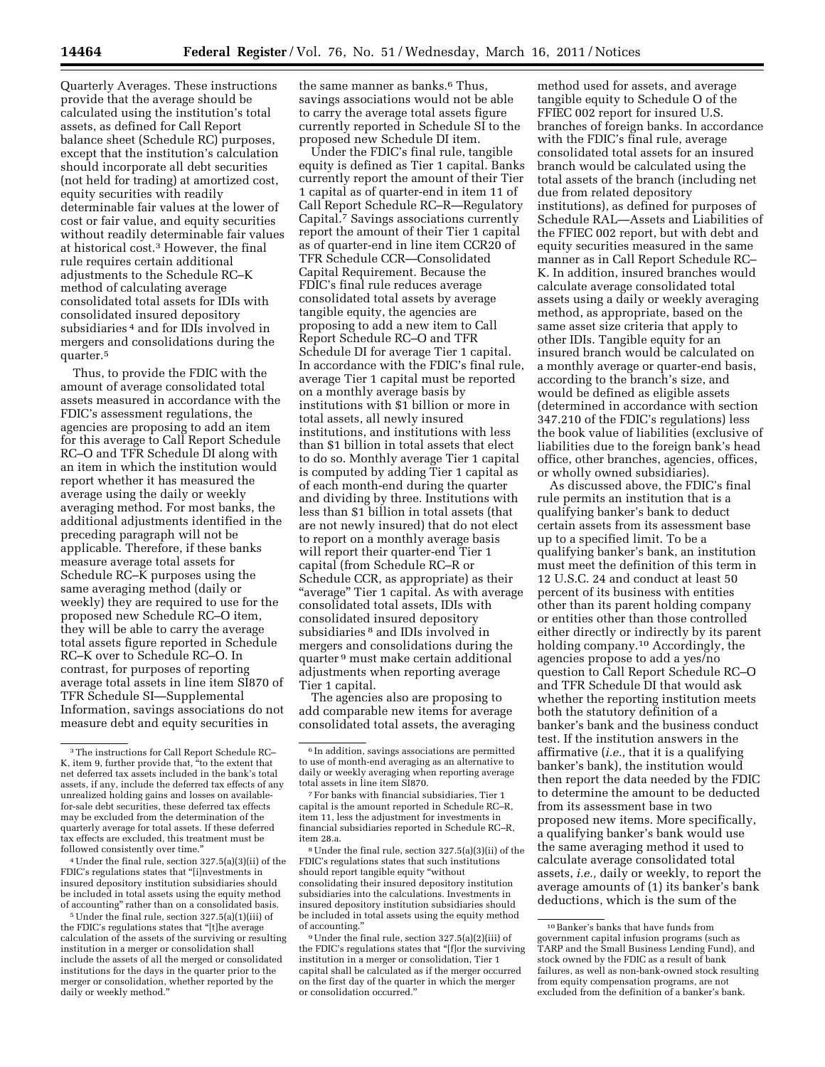Quarterly Averages. These instructions provide that the average should be calculated using the institution's total assets, as defined for Call Report balance sheet (Schedule RC) purposes, except that the institution's calculation should incorporate all debt securities (not held for trading) at amortized cost, equity securities with readily determinable fair values at the lower of cost or fair value, and equity securities without readily determinable fair values at historical cost.3 However, the final rule requires certain additional adjustments to the Schedule RC–K method of calculating average consolidated total assets for IDIs with consolidated insured depository subsidiaries 4 and for IDIs involved in mergers and consolidations during the quarter.5

Thus, to provide the FDIC with the amount of average consolidated total assets measured in accordance with the FDIC's assessment regulations, the agencies are proposing to add an item for this average to Call Report Schedule RC–O and TFR Schedule DI along with an item in which the institution would report whether it has measured the average using the daily or weekly averaging method. For most banks, the additional adjustments identified in the preceding paragraph will not be applicable. Therefore, if these banks measure average total assets for Schedule RC–K purposes using the same averaging method (daily or weekly) they are required to use for the proposed new Schedule RC–O item, they will be able to carry the average total assets figure reported in Schedule RC–K over to Schedule RC–O. In contrast, for purposes of reporting average total assets in line item SI870 of TFR Schedule SI—Supplemental Information, savings associations do not measure debt and equity securities in

4Under the final rule, section 327.5(a)(3)(ii) of the FDIC's regulations states that "[i]nvestments in insured depository institution subsidiaries should be included in total assets using the equity method of accounting'' rather than on a consolidated basis.

5Under the final rule, section 327.5(a)(1)(iii) of the FDIC's regulations states that "[t]he average calculation of the assets of the surviving or resulting institution in a merger or consolidation shall include the assets of all the merged or consolidated institutions for the days in the quarter prior to the merger or consolidation, whether reported by the daily or weekly method.''

the same manner as banks.<sup>6</sup> Thus, savings associations would not be able to carry the average total assets figure currently reported in Schedule SI to the proposed new Schedule DI item.

Under the FDIC's final rule, tangible equity is defined as Tier 1 capital. Banks currently report the amount of their Tier 1 capital as of quarter-end in item 11 of Call Report Schedule RC–R—Regulatory Capital.7 Savings associations currently report the amount of their Tier 1 capital as of quarter-end in line item CCR20 of TFR Schedule CCR—Consolidated Capital Requirement. Because the FDIC's final rule reduces average consolidated total assets by average tangible equity, the agencies are proposing to add a new item to Call Report Schedule RC–O and TFR Schedule DI for average Tier 1 capital. In accordance with the FDIC's final rule, average Tier 1 capital must be reported on a monthly average basis by institutions with \$1 billion or more in total assets, all newly insured institutions, and institutions with less than \$1 billion in total assets that elect to do so. Monthly average Tier 1 capital is computed by adding Tier 1 capital as of each month-end during the quarter and dividing by three. Institutions with less than \$1 billion in total assets (that are not newly insured) that do not elect to report on a monthly average basis will report their quarter-end Tier 1 capital (from Schedule RC–R or Schedule CCR, as appropriate) as their "average" Tier 1 capital. As with average consolidated total assets, IDIs with consolidated insured depository subsidiaries 8 and IDIs involved in mergers and consolidations during the quarter 9 must make certain additional adjustments when reporting average Tier 1 capital.

The agencies also are proposing to add comparable new items for average consolidated total assets, the averaging

8Under the final rule, section 327.5(a)(3)(ii) of the FDIC's regulations states that such institutions should report tangible equity ''without consolidating their insured depository institution subsidiaries into the calculations. Investments in insured depository institution subsidiaries should be included in total assets using the equity method of accounting.''

9Under the final rule, section 327.5(a)(2)(iii) of the FDIC's regulations states that ''[f]or the surviving institution in a merger or consolidation, Tier 1 capital shall be calculated as if the merger occurred on the first day of the quarter in which the merger or consolidation occurred.''

method used for assets, and average tangible equity to Schedule O of the FFIEC 002 report for insured U.S. branches of foreign banks. In accordance with the FDIC's final rule, average consolidated total assets for an insured branch would be calculated using the total assets of the branch (including net due from related depository institutions), as defined for purposes of Schedule RAL—Assets and Liabilities of the FFIEC 002 report, but with debt and equity securities measured in the same manner as in Call Report Schedule RC– K. In addition, insured branches would calculate average consolidated total assets using a daily or weekly averaging method, as appropriate, based on the same asset size criteria that apply to other IDIs. Tangible equity for an insured branch would be calculated on a monthly average or quarter-end basis, according to the branch's size, and would be defined as eligible assets (determined in accordance with section 347.210 of the FDIC's regulations) less the book value of liabilities (exclusive of liabilities due to the foreign bank's head office, other branches, agencies, offices, or wholly owned subsidiaries).

As discussed above, the FDIC's final rule permits an institution that is a qualifying banker's bank to deduct certain assets from its assessment base up to a specified limit. To be a qualifying banker's bank, an institution must meet the definition of this term in 12 U.S.C. 24 and conduct at least 50 percent of its business with entities other than its parent holding company or entities other than those controlled either directly or indirectly by its parent holding company.10 Accordingly, the agencies propose to add a yes/no question to Call Report Schedule RC–O and TFR Schedule DI that would ask whether the reporting institution meets both the statutory definition of a banker's bank and the business conduct test. If the institution answers in the affirmative (*i.e.,* that it is a qualifying banker's bank), the institution would then report the data needed by the FDIC to determine the amount to be deducted from its assessment base in two proposed new items. More specifically, a qualifying banker's bank would use the same averaging method it used to calculate average consolidated total assets, *i.e.,* daily or weekly, to report the average amounts of (1) its banker's bank deductions, which is the sum of the

<sup>3</sup>The instructions for Call Report Schedule RC– K, item 9, further provide that, ''to the extent that net deferred tax assets included in the bank's total assets, if any, include the deferred tax effects of any unrealized holding gains and losses on availablefor-sale debt securities, these deferred tax effects may be excluded from the determination of the quarterly average for total assets. If these deferred tax effects are excluded, this treatment must be followed consistently over time.''

<sup>6</sup> In addition, savings associations are permitted to use of month-end averaging as an alternative to daily or weekly averaging when reporting average total assets in line item SI870.

<sup>7</sup>For banks with financial subsidiaries, Tier 1 capital is the amount reported in Schedule RC–R, item 11, less the adjustment for investments in financial subsidiaries reported in Schedule RC–R, item 28.a.

<sup>10</sup>Banker's banks that have funds from government capital infusion programs (such as TARP and the Small Business Lending Fund), and stock owned by the FDIC as a result of bank failures, as well as non-bank-owned stock resulting from equity compensation programs, are not excluded from the definition of a banker's bank.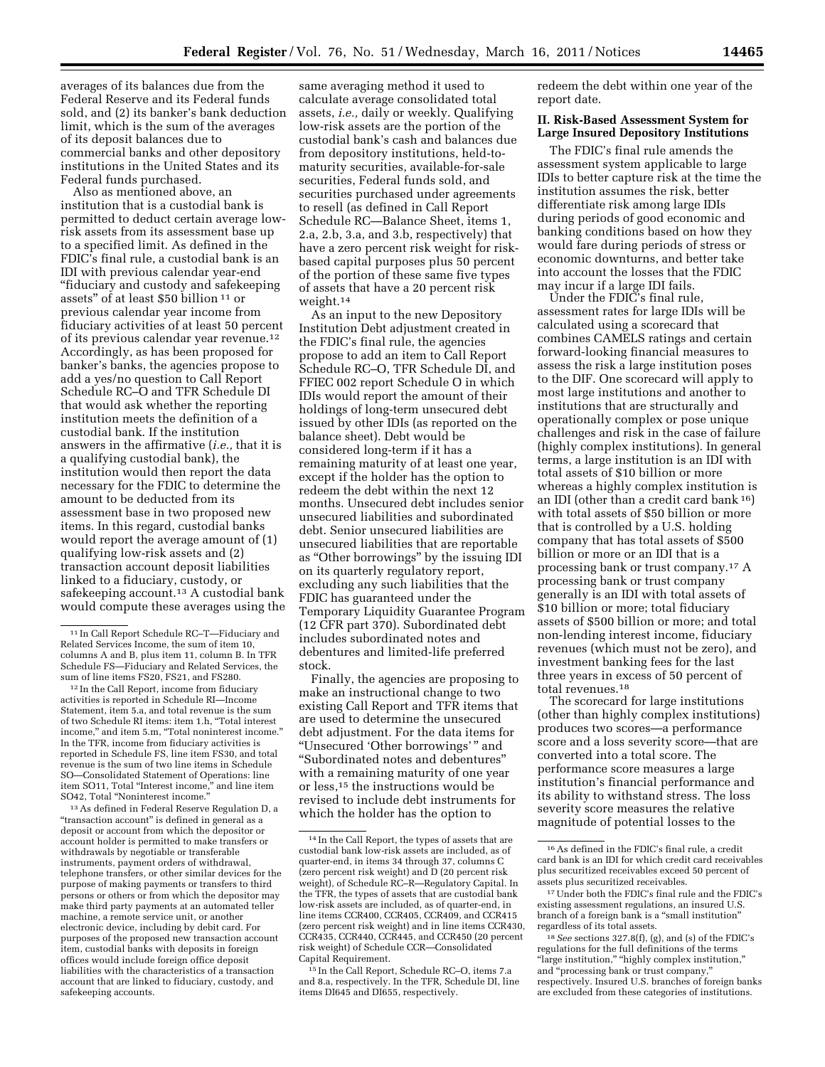averages of its balances due from the Federal Reserve and its Federal funds sold, and (2) its banker's bank deduction limit, which is the sum of the averages of its deposit balances due to commercial banks and other depository institutions in the United States and its Federal funds purchased.

Also as mentioned above, an institution that is a custodial bank is permitted to deduct certain average lowrisk assets from its assessment base up to a specified limit. As defined in the FDIC's final rule, a custodial bank is an IDI with previous calendar year-end ''fiduciary and custody and safekeeping assets'' of at least \$50 billion 11 or previous calendar year income from fiduciary activities of at least 50 percent of its previous calendar year revenue.12 Accordingly, as has been proposed for banker's banks, the agencies propose to add a yes/no question to Call Report Schedule RC–O and TFR Schedule DI that would ask whether the reporting institution meets the definition of a custodial bank. If the institution answers in the affirmative (*i.e.,* that it is a qualifying custodial bank), the institution would then report the data necessary for the FDIC to determine the amount to be deducted from its assessment base in two proposed new items. In this regard, custodial banks would report the average amount of (1) qualifying low-risk assets and (2) transaction account deposit liabilities linked to a fiduciary, custody, or safekeeping account.<sup>13</sup> A custodial bank would compute these averages using the

12 In the Call Report, income from fiduciary activities is reported in Schedule RI—Income Statement, item 5.a, and total revenue is the sum of two Schedule RI items: item 1.h, ''Total interest income,'' and item 5.m, ''Total noninterest income.'' In the TFR, income from fiduciary activities is reported in Schedule FS, line item FS30, and total revenue is the sum of two line items in Schedule SO—Consolidated Statement of Operations: line item SO11, Total "Interest income," and line item SO42, Total ''Noninterest income.''

13As defined in Federal Reserve Regulation D, a "transaction account" is defined in general as a deposit or account from which the depositor or account holder is permitted to make transfers or withdrawals by negotiable or transferable instruments, payment orders of withdrawal, telephone transfers, or other similar devices for the purpose of making payments or transfers to third persons or others or from which the depositor may make third party payments at an automated teller machine, a remote service unit, or another electronic device, including by debit card. For purposes of the proposed new transaction account item, custodial banks with deposits in foreign offices would include foreign office deposit liabilities with the characteristics of a transaction account that are linked to fiduciary, custody, and safekeeping accounts.

same averaging method it used to calculate average consolidated total assets, *i.e.,* daily or weekly. Qualifying low-risk assets are the portion of the custodial bank's cash and balances due from depository institutions, held-tomaturity securities, available-for-sale securities, Federal funds sold, and securities purchased under agreements to resell (as defined in Call Report Schedule RC—Balance Sheet, items 1, 2.a, 2.b, 3.a, and 3.b, respectively) that have a zero percent risk weight for riskbased capital purposes plus 50 percent of the portion of these same five types of assets that have a 20 percent risk weight.14

As an input to the new Depository Institution Debt adjustment created in the FDIC's final rule, the agencies propose to add an item to Call Report Schedule RC–O, TFR Schedule DI, and FFIEC 002 report Schedule O in which IDIs would report the amount of their holdings of long-term unsecured debt issued by other IDIs (as reported on the balance sheet). Debt would be considered long-term if it has a remaining maturity of at least one year, except if the holder has the option to redeem the debt within the next 12 months. Unsecured debt includes senior unsecured liabilities and subordinated debt. Senior unsecured liabilities are unsecured liabilities that are reportable as ''Other borrowings'' by the issuing IDI on its quarterly regulatory report, excluding any such liabilities that the FDIC has guaranteed under the Temporary Liquidity Guarantee Program (12 CFR part 370). Subordinated debt includes subordinated notes and debentures and limited-life preferred stock.

Finally, the agencies are proposing to make an instructional change to two existing Call Report and TFR items that are used to determine the unsecured debt adjustment. For the data items for ''Unsecured 'Other borrowings' '' and ''Subordinated notes and debentures'' with a remaining maturity of one year or less,15 the instructions would be revised to include debt instruments for which the holder has the option to

redeem the debt within one year of the report date.

# **II. Risk-Based Assessment System for Large Insured Depository Institutions**

The FDIC's final rule amends the assessment system applicable to large IDIs to better capture risk at the time the institution assumes the risk, better differentiate risk among large IDIs during periods of good economic and banking conditions based on how they would fare during periods of stress or economic downturns, and better take into account the losses that the FDIC may incur if a large IDI fails.

Under the FDIC's final rule, assessment rates for large IDIs will be calculated using a scorecard that combines CAMELS ratings and certain forward-looking financial measures to assess the risk a large institution poses to the DIF. One scorecard will apply to most large institutions and another to institutions that are structurally and operationally complex or pose unique challenges and risk in the case of failure (highly complex institutions). In general terms, a large institution is an IDI with total assets of \$10 billion or more whereas a highly complex institution is an IDI (other than a credit card bank 16) with total assets of \$50 billion or more that is controlled by a U.S. holding company that has total assets of \$500 billion or more or an IDI that is a processing bank or trust company.17 A processing bank or trust company generally is an IDI with total assets of \$10 billion or more; total fiduciary assets of \$500 billion or more; and total non-lending interest income, fiduciary revenues (which must not be zero), and investment banking fees for the last three years in excess of 50 percent of total revenues.18

The scorecard for large institutions (other than highly complex institutions) produces two scores—a performance score and a loss severity score—that are converted into a total score. The performance score measures a large institution's financial performance and its ability to withstand stress. The loss severity score measures the relative magnitude of potential losses to the

<sup>11</sup> In Call Report Schedule RC–T—Fiduciary and Related Services Income, the sum of item 10, columns A and B, plus item 11, column B. In TFR Schedule FS—Fiduciary and Related Services, the sum of line items FS20, FS21, and FS280.

<sup>14</sup> In the Call Report, the types of assets that are custodial bank low-risk assets are included, as of quarter-end, in items 34 through 37, columns C (zero percent risk weight) and D (20 percent risk weight), of Schedule RC–R—Regulatory Capital. In the TFR, the types of assets that are custodial bank low-risk assets are included, as of quarter-end, in line items CCR400, CCR405, CCR409, and CCR415 (zero percent risk weight) and in line items CCR430, CCR435, CCR440, CCR445, and CCR450 (20 percent risk weight) of Schedule CCR—Consolidated Capital Requirement.

<sup>15</sup> In the Call Report, Schedule RC–O, items 7.a and 8.a, respectively. In the TFR, Schedule DI, line items DI645 and DI655, respectively.

<sup>16</sup>As defined in the FDIC's final rule, a credit card bank is an IDI for which credit card receivables plus securitized receivables exceed 50 percent of assets plus securitized receivables.

<sup>17</sup>Under both the FDIC's final rule and the FDIC's existing assessment regulations, an insured U.S. branch of a foreign bank is a "small institution" regardless of its total assets.

<sup>18</sup>*See* sections 327.8(f), (g), and (s) of the FDIC's regulations for the full definitions of the terms ''large institution,'' ''highly complex institution,'' and ''processing bank or trust company,'' respectively. Insured U.S. branches of foreign banks are excluded from these categories of institutions.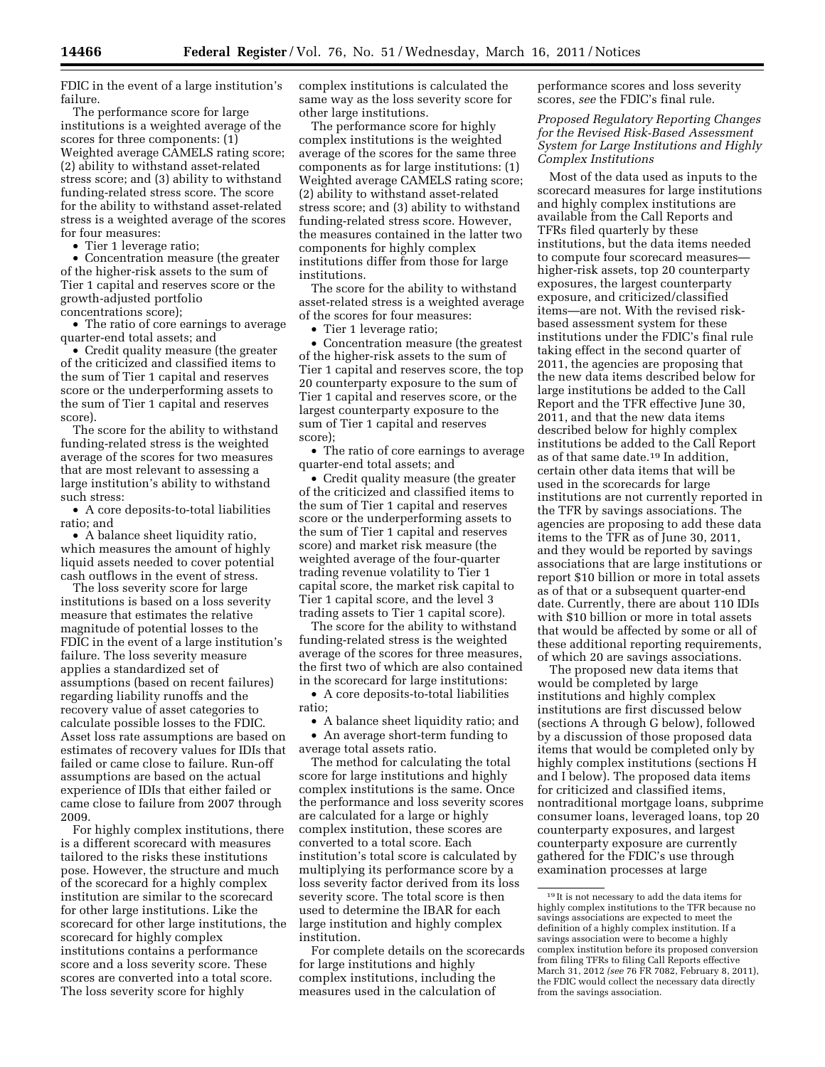FDIC in the event of a large institution's failure.

The performance score for large institutions is a weighted average of the scores for three components:  $(1)$ Weighted average CAMELS rating score; (2) ability to withstand asset-related stress score; and (3) ability to withstand funding-related stress score. The score for the ability to withstand asset-related stress is a weighted average of the scores for four measures:

• Tier 1 leverage ratio;

• Concentration measure (the greater of the higher-risk assets to the sum of Tier 1 capital and reserves score or the growth-adjusted portfolio concentrations score);

• The ratio of core earnings to average quarter-end total assets; and

• Credit quality measure (the greater of the criticized and classified items to the sum of Tier 1 capital and reserves score or the underperforming assets to the sum of Tier 1 capital and reserves score).

The score for the ability to withstand funding-related stress is the weighted average of the scores for two measures that are most relevant to assessing a large institution's ability to withstand such stress:

• A core deposits-to-total liabilities ratio; and

• A balance sheet liquidity ratio, which measures the amount of highly liquid assets needed to cover potential cash outflows in the event of stress.

The loss severity score for large institutions is based on a loss severity measure that estimates the relative magnitude of potential losses to the FDIC in the event of a large institution's failure. The loss severity measure applies a standardized set of assumptions (based on recent failures) regarding liability runoffs and the recovery value of asset categories to calculate possible losses to the FDIC. Asset loss rate assumptions are based on estimates of recovery values for IDIs that failed or came close to failure. Run-off assumptions are based on the actual experience of IDIs that either failed or came close to failure from 2007 through 2009.

For highly complex institutions, there is a different scorecard with measures tailored to the risks these institutions pose. However, the structure and much of the scorecard for a highly complex institution are similar to the scorecard for other large institutions. Like the scorecard for other large institutions, the scorecard for highly complex institutions contains a performance score and a loss severity score. These scores are converted into a total score. The loss severity score for highly

complex institutions is calculated the same way as the loss severity score for other large institutions.

The performance score for highly complex institutions is the weighted average of the scores for the same three components as for large institutions: (1) Weighted average CAMELS rating score; (2) ability to withstand asset-related stress score; and (3) ability to withstand funding-related stress score. However, the measures contained in the latter two components for highly complex institutions differ from those for large institutions.

The score for the ability to withstand asset-related stress is a weighted average of the scores for four measures:

• Tier 1 leverage ratio;

• Concentration measure (the greatest of the higher-risk assets to the sum of Tier 1 capital and reserves score, the top 20 counterparty exposure to the sum of Tier 1 capital and reserves score, or the largest counterparty exposure to the sum of Tier 1 capital and reserves score);

• The ratio of core earnings to average quarter-end total assets; and

• Credit quality measure (the greater of the criticized and classified items to the sum of Tier 1 capital and reserves score or the underperforming assets to the sum of Tier 1 capital and reserves score) and market risk measure (the weighted average of the four-quarter trading revenue volatility to Tier 1 capital score, the market risk capital to Tier 1 capital score, and the level 3 trading assets to Tier 1 capital score).

The score for the ability to withstand funding-related stress is the weighted average of the scores for three measures, the first two of which are also contained in the scorecard for large institutions:

• A core deposits-to-total liabilities ratio;

• A balance sheet liquidity ratio; and • An average short-term funding to average total assets ratio.

The method for calculating the total score for large institutions and highly complex institutions is the same. Once the performance and loss severity scores are calculated for a large or highly complex institution, these scores are converted to a total score. Each institution's total score is calculated by multiplying its performance score by a loss severity factor derived from its loss severity score. The total score is then used to determine the IBAR for each large institution and highly complex institution.

For complete details on the scorecards for large institutions and highly complex institutions, including the measures used in the calculation of

performance scores and loss severity scores, *see* the FDIC's final rule.

*Proposed Regulatory Reporting Changes for the Revised Risk-Based Assessment System for Large Institutions and Highly Complex Institutions* 

Most of the data used as inputs to the scorecard measures for large institutions and highly complex institutions are available from the Call Reports and TFRs filed quarterly by these institutions, but the data items needed to compute four scorecard measures higher-risk assets, top 20 counterparty exposures, the largest counterparty exposure, and criticized/classified items—are not. With the revised riskbased assessment system for these institutions under the FDIC's final rule taking effect in the second quarter of 2011, the agencies are proposing that the new data items described below for large institutions be added to the Call Report and the TFR effective June 30, 2011, and that the new data items described below for highly complex institutions be added to the Call Report as of that same date.19 In addition, certain other data items that will be used in the scorecards for large institutions are not currently reported in the TFR by savings associations. The agencies are proposing to add these data items to the TFR as of June 30, 2011, and they would be reported by savings associations that are large institutions or report \$10 billion or more in total assets as of that or a subsequent quarter-end date. Currently, there are about 110 IDIs with \$10 billion or more in total assets that would be affected by some or all of these additional reporting requirements, of which 20 are savings associations.

The proposed new data items that would be completed by large institutions and highly complex institutions are first discussed below (sections A through G below), followed by a discussion of those proposed data items that would be completed only by highly complex institutions (sections H and I below). The proposed data items for criticized and classified items, nontraditional mortgage loans, subprime consumer loans, leveraged loans, top 20 counterparty exposures, and largest counterparty exposure are currently gathered for the FDIC's use through examination processes at large

<sup>19</sup> It is not necessary to add the data items for highly complex institutions to the TFR because no savings associations are expected to meet the definition of a highly complex institution. If a savings association were to become a highly complex institution before its proposed conversion from filing TFRs to filing Call Reports effective March 31, 2012 *(see* 76 FR 7082, February 8, 2011), the FDIC would collect the necessary data directly from the savings association.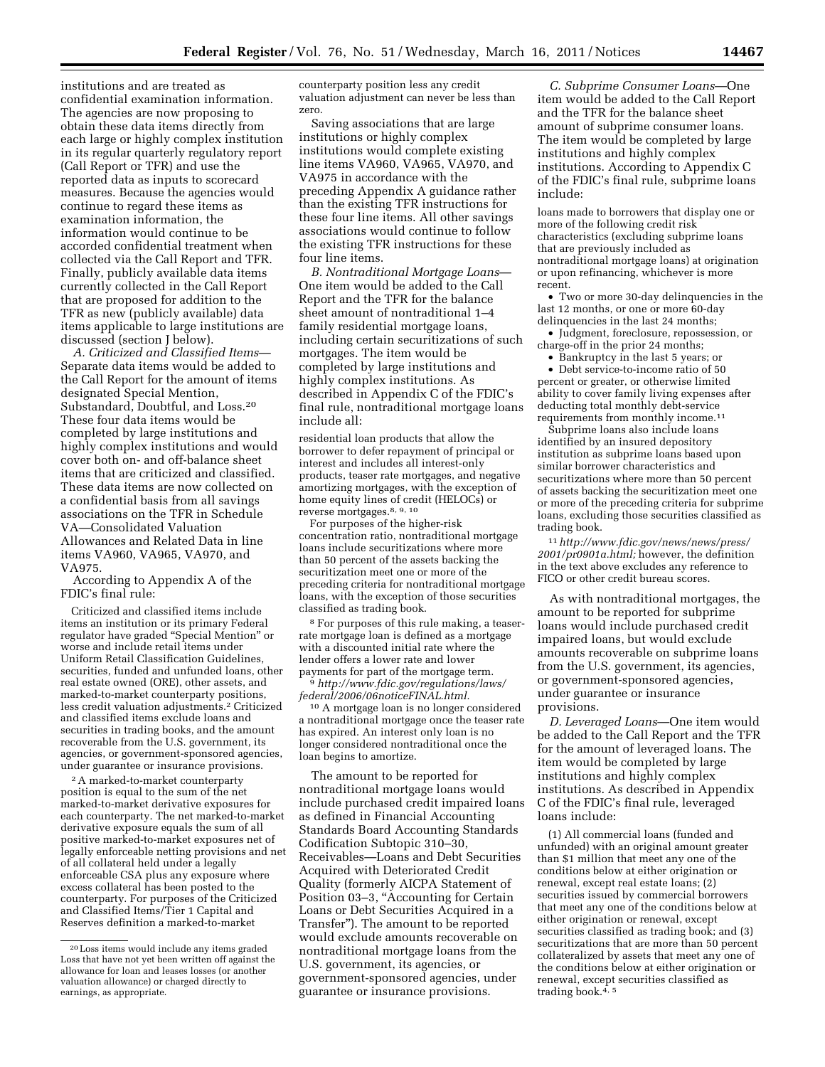institutions and are treated as confidential examination information. The agencies are now proposing to obtain these data items directly from each large or highly complex institution in its regular quarterly regulatory report (Call Report or TFR) and use the reported data as inputs to scorecard measures. Because the agencies would continue to regard these items as examination information, the information would continue to be accorded confidential treatment when collected via the Call Report and TFR. Finally, publicly available data items currently collected in the Call Report that are proposed for addition to the TFR as new (publicly available) data items applicable to large institutions are discussed (section J below).

*A. Criticized and Classified Items*— Separate data items would be added to the Call Report for the amount of items designated Special Mention, Substandard, Doubtful, and Loss.20 These four data items would be completed by large institutions and highly complex institutions and would cover both on- and off-balance sheet items that are criticized and classified. These data items are now collected on a confidential basis from all savings associations on the TFR in Schedule VA—Consolidated Valuation Allowances and Related Data in line items VA960, VA965, VA970, and VA975.

According to Appendix A of the FDIC's final rule:

Criticized and classified items include items an institution or its primary Federal regulator have graded ''Special Mention'' or worse and include retail items under Uniform Retail Classification Guidelines, securities, funded and unfunded loans, other real estate owned (ORE), other assets, and marked-to-market counterparty positions, less credit valuation adjustments.2 Criticized and classified items exclude loans and securities in trading books, and the amount recoverable from the U.S. government, its agencies, or government-sponsored agencies, under guarantee or insurance provisions.

2A marked-to-market counterparty position is equal to the sum of the net marked-to-market derivative exposures for each counterparty. The net marked-to-market derivative exposure equals the sum of all positive marked-to-market exposures net of legally enforceable netting provisions and net of all collateral held under a legally enforceable CSA plus any exposure where excess collateral has been posted to the counterparty. For purposes of the Criticized and Classified Items/Tier 1 Capital and Reserves definition a marked-to-market

counterparty position less any credit valuation adjustment can never be less than zero.

Saving associations that are large institutions or highly complex institutions would complete existing line items VA960, VA965, VA970, and VA975 in accordance with the preceding Appendix A guidance rather than the existing TFR instructions for these four line items. All other savings associations would continue to follow the existing TFR instructions for these four line items.

*B. Nontraditional Mortgage Loans*— One item would be added to the Call Report and the TFR for the balance sheet amount of nontraditional 1–4 family residential mortgage loans, including certain securitizations of such mortgages. The item would be completed by large institutions and highly complex institutions. As described in Appendix C of the FDIC's final rule, nontraditional mortgage loans include all:

residential loan products that allow the borrower to defer repayment of principal or interest and includes all interest-only products, teaser rate mortgages, and negative amortizing mortgages, with the exception of home equity lines of credit (HELOCs) or reverse mortgages.8, 9, 10

For purposes of the higher-risk concentration ratio, nontraditional mortgage loans include securitizations where more than 50 percent of the assets backing the securitization meet one or more of the preceding criteria for nontraditional mortgage loans, with the exception of those securities classified as trading book.

8 For purposes of this rule making, a teaserrate mortgage loan is defined as a mortgage with a discounted initial rate where the lender offers a lower rate and lower<br>payments for part of the mortgage term.

<sup>9</sup> http://www.fdic.gov/regulations/laws/ *[federal/2006/06noticeFINAL.html.](http://www.fdic.gov/regulations/laws/federal/2006/06noticeFINAL.html)* 

10 A mortgage loan is no longer considered a nontraditional mortgage once the teaser rate has expired. An interest only loan is no longer considered nontraditional once the loan begins to amortize.

The amount to be reported for nontraditional mortgage loans would include purchased credit impaired loans as defined in Financial Accounting Standards Board Accounting Standards Codification Subtopic 310–30, Receivables—Loans and Debt Securities Acquired with Deteriorated Credit Quality (formerly AICPA Statement of Position 03–3, ''Accounting for Certain Loans or Debt Securities Acquired in a Transfer''). The amount to be reported would exclude amounts recoverable on nontraditional mortgage loans from the U.S. government, its agencies, or government-sponsored agencies, under guarantee or insurance provisions.

*C. Subprime Consumer Loans*—One item would be added to the Call Report and the TFR for the balance sheet amount of subprime consumer loans. The item would be completed by large institutions and highly complex institutions. According to Appendix C of the FDIC's final rule, subprime loans include:

loans made to borrowers that display one or more of the following credit risk characteristics (excluding subprime loans that are previously included as nontraditional mortgage loans) at origination or upon refinancing, whichever is more recent.

• Two or more 30-day delinquencies in the last 12 months, or one or more 60-day delinquencies in the last 24 months;

• Judgment, foreclosure, repossession, or charge-off in the prior 24 months;

• Bankruptcy in the last 5 years; or

• Debt service-to-income ratio of 50 percent or greater, or otherwise limited ability to cover family living expenses after deducting total monthly debt-service requirements from monthly income.11

Subprime loans also include loans identified by an insured depository institution as subprime loans based upon similar borrower characteristics and securitizations where more than 50 percent of assets backing the securitization meet one or more of the preceding criteria for subprime loans, excluding those securities classified as trading book.

11*[http://www.fdic.gov/news/news/press/](http://www.fdic.gov/news/news/press/2001/pr0901a.html)  [2001/pr0901a.html;](http://www.fdic.gov/news/news/press/2001/pr0901a.html)* however, the definition in the text above excludes any reference to FICO or other credit bureau scores.

As with nontraditional mortgages, the amount to be reported for subprime loans would include purchased credit impaired loans, but would exclude amounts recoverable on subprime loans from the U.S. government, its agencies, or government-sponsored agencies, under guarantee or insurance provisions.

*D. Leveraged Loans*—One item would be added to the Call Report and the TFR for the amount of leveraged loans. The item would be completed by large institutions and highly complex institutions. As described in Appendix C of the FDIC's final rule, leveraged loans include:

(1) All commercial loans (funded and unfunded) with an original amount greater than \$1 million that meet any one of the conditions below at either origination or renewal, except real estate loans; (2) securities issued by commercial borrowers that meet any one of the conditions below at either origination or renewal, except securities classified as trading book; and (3) securitizations that are more than 50 percent collateralized by assets that meet any one of the conditions below at either origination or renewal, except securities classified as trading book. $4, 5$ 

<sup>20</sup>Loss items would include any items graded Loss that have not yet been written off against the allowance for loan and leases losses (or another valuation allowance) or charged directly to earnings, as appropriate.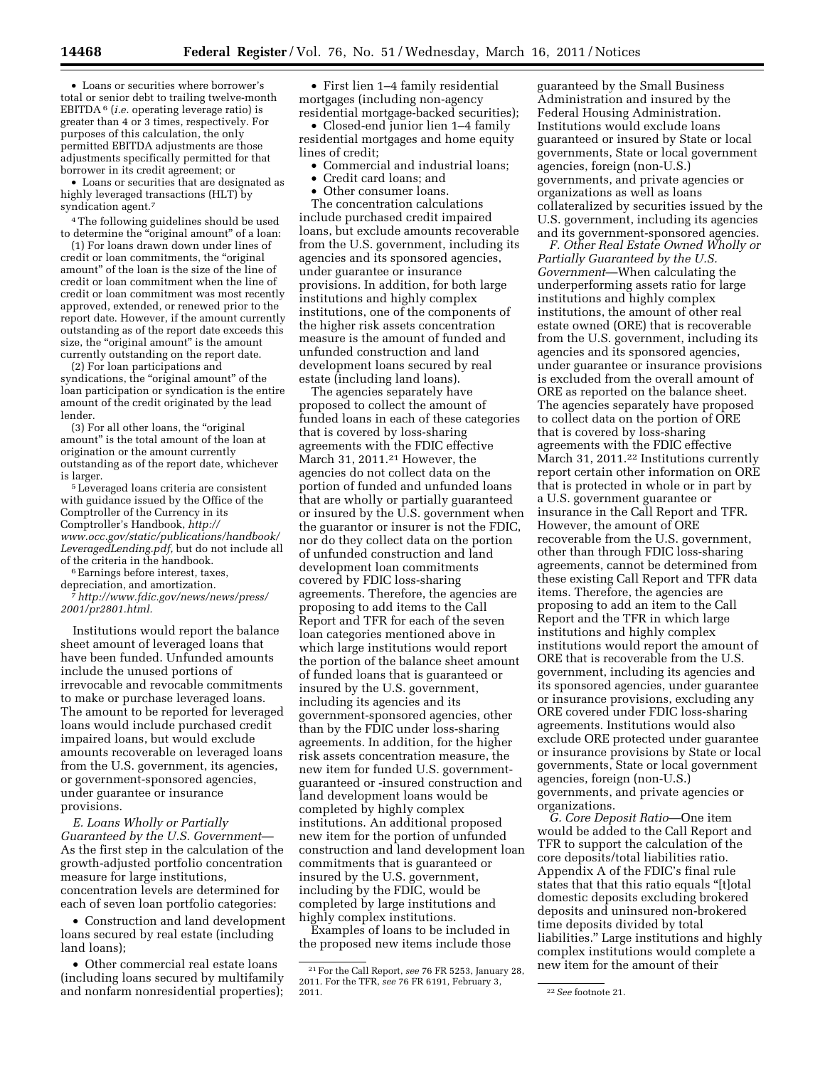• Loans or securities where borrower's total or senior debt to trailing twelve-month EBITDA 6 (*i.e.* operating leverage ratio) is greater than 4 or 3 times, respectively. For purposes of this calculation, the only permitted EBITDA adjustments are those adjustments specifically permitted for that borrower in its credit agreement; or

• Loans or securities that are designated as highly leveraged transactions (HLT) by syndication agent.<sup>7</sup>

4The following guidelines should be used to determine the ''original amount'' of a loan:

(1) For loans drawn down under lines of credit or loan commitments, the ''original amount'' of the loan is the size of the line of credit or loan commitment when the line of credit or loan commitment was most recently approved, extended, or renewed prior to the report date. However, if the amount currently outstanding as of the report date exceeds this size, the "original amount" is the amount currently outstanding on the report date.

(2) For loan participations and syndications, the "original amount" of the loan participation or syndication is the entire amount of the credit originated by the lead lender.

(3) For all other loans, the ''original amount'' is the total amount of the loan at origination or the amount currently outstanding as of the report date, whichever is larger. 5Leveraged loans criteria are consistent

with guidance issued by the Office of the Comptroller of the Currency in its Comptroller's Handbook, *[http://](http://www.occ.gov/static/publications/handbook/LeveragedLending.pdf) [www.occ.gov/static/publications/handbook/](http://www.occ.gov/static/publications/handbook/LeveragedLending.pdf)  [LeveragedLending.pdf,](http://www.occ.gov/static/publications/handbook/LeveragedLending.pdf)* but do not include all

 $6$  Earnings before interest, taxes,

depreciation, and amortization. 7*[http://www.fdic.gov/news/news/press/](http://www.fdic.gov/news/news/press/2001/pr2801.html)* 

*[2001/pr2801.html.](http://www.fdic.gov/news/news/press/2001/pr2801.html)* 

Institutions would report the balance sheet amount of leveraged loans that have been funded. Unfunded amounts include the unused portions of irrevocable and revocable commitments to make or purchase leveraged loans. The amount to be reported for leveraged loans would include purchased credit impaired loans, but would exclude amounts recoverable on leveraged loans from the U.S. government, its agencies, or government-sponsored agencies, under guarantee or insurance provisions.

*E. Loans Wholly or Partially Guaranteed by the U.S. Government*— As the first step in the calculation of the growth-adjusted portfolio concentration measure for large institutions, concentration levels are determined for each of seven loan portfolio categories:

• Construction and land development loans secured by real estate (including land loans);

• Other commercial real estate loans (including loans secured by multifamily and nonfarm nonresidential properties);

• First lien 1–4 family residential mortgages (including non-agency residential mortgage-backed securities);

• Closed-end junior lien 1–4 family residential mortgages and home equity lines of credit;

- Commercial and industrial loans;
- Credit card loans; and
- Other consumer loans.

The concentration calculations include purchased credit impaired loans, but exclude amounts recoverable from the U.S. government, including its agencies and its sponsored agencies, under guarantee or insurance provisions. In addition, for both large institutions and highly complex institutions, one of the components of the higher risk assets concentration measure is the amount of funded and unfunded construction and land development loans secured by real estate (including land loans).

The agencies separately have proposed to collect the amount of funded loans in each of these categories that is covered by loss-sharing agreements with the FDIC effective March 31, 2011.<sup>21</sup> However, the agencies do not collect data on the portion of funded and unfunded loans that are wholly or partially guaranteed or insured by the U.S. government when the guarantor or insurer is not the FDIC, nor do they collect data on the portion of unfunded construction and land development loan commitments covered by FDIC loss-sharing agreements. Therefore, the agencies are proposing to add items to the Call Report and TFR for each of the seven loan categories mentioned above in which large institutions would report the portion of the balance sheet amount of funded loans that is guaranteed or insured by the U.S. government, including its agencies and its government-sponsored agencies, other than by the FDIC under loss-sharing agreements. In addition, for the higher risk assets concentration measure, the new item for funded U.S. governmentguaranteed or -insured construction and land development loans would be completed by highly complex institutions. An additional proposed new item for the portion of unfunded construction and land development loan commitments that is guaranteed or insured by the U.S. government, including by the FDIC, would be completed by large institutions and highly complex institutions.

Examples of loans to be included in the proposed new items include those

guaranteed by the Small Business Administration and insured by the Federal Housing Administration. Institutions would exclude loans guaranteed or insured by State or local governments, State or local government agencies, foreign (non-U.S.) governments, and private agencies or organizations as well as loans collateralized by securities issued by the U.S. government, including its agencies and its government-sponsored agencies.

*F. Other Real Estate Owned Wholly or Partially Guaranteed by the U.S. Government*—When calculating the underperforming assets ratio for large institutions and highly complex institutions, the amount of other real estate owned (ORE) that is recoverable from the U.S. government, including its agencies and its sponsored agencies, under guarantee or insurance provisions is excluded from the overall amount of ORE as reported on the balance sheet. The agencies separately have proposed to collect data on the portion of ORE that is covered by loss-sharing agreements with the FDIC effective March 31, 2011.<sup>22</sup> Institutions currently report certain other information on ORE that is protected in whole or in part by a U.S. government guarantee or insurance in the Call Report and TFR. However, the amount of ORE recoverable from the U.S. government, other than through FDIC loss-sharing agreements, cannot be determined from these existing Call Report and TFR data items. Therefore, the agencies are proposing to add an item to the Call Report and the TFR in which large institutions and highly complex institutions would report the amount of ORE that is recoverable from the U.S. government, including its agencies and its sponsored agencies, under guarantee or insurance provisions, excluding any ORE covered under FDIC loss-sharing agreements. Institutions would also exclude ORE protected under guarantee or insurance provisions by State or local governments, State or local government agencies, foreign (non-U.S.) governments, and private agencies or organizations.

*G. Core Deposit Ratio*—One item would be added to the Call Report and TFR to support the calculation of the core deposits/total liabilities ratio. Appendix A of the FDIC's final rule states that that this ratio equals ''[t]otal domestic deposits excluding brokered deposits and uninsured non-brokered time deposits divided by total liabilities.'' Large institutions and highly complex institutions would complete a new item for the amount of their

<sup>21</sup>For the Call Report, *see* 76 FR 5253, January 28, 2011. For the TFR, *see* 76 FR 6191, February 3,

<sup>&</sup>lt;sup>22</sup> See footnote 21.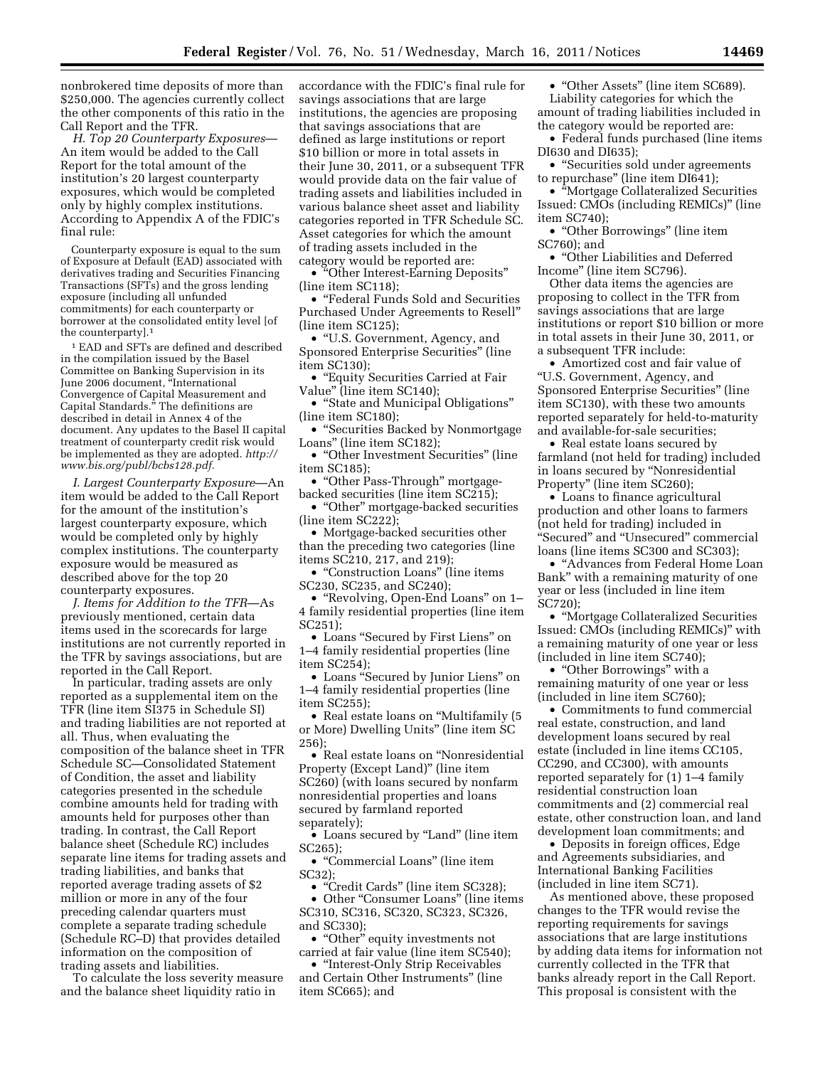nonbrokered time deposits of more than \$250,000. The agencies currently collect the other components of this ratio in the Call Report and the TFR.

*H. Top 20 Counterparty Exposures*— An item would be added to the Call Report for the total amount of the institution's 20 largest counterparty exposures, which would be completed only by highly complex institutions. According to Appendix A of the FDIC's final rule:

Counterparty exposure is equal to the sum of Exposure at Default (EAD) associated with derivatives trading and Securities Financing Transactions (SFTs) and the gross lending exposure (including all unfunded commitments) for each counterparty or borrower at the consolidated entity level [of the counterparty].1

1 EAD and SFTs are defined and described in the compilation issued by the Basel Committee on Banking Supervision in its June 2006 document, ''International Convergence of Capital Measurement and Capital Standards.'' The definitions are described in detail in Annex 4 of the document. Any updates to the Basel II capital treatment of counterparty credit risk would be implemented as they are adopted. *[http://](http://www.bis.org/publ/bcbs128.pdf)  [www.bis.org/publ/bcbs128.pdf.](http://www.bis.org/publ/bcbs128.pdf)* 

*I. Largest Counterparty Exposure*—An item would be added to the Call Report for the amount of the institution's largest counterparty exposure, which would be completed only by highly complex institutions. The counterparty exposure would be measured as described above for the top 20 counterparty exposures.

*J. Items for Addition to the TFR*—As previously mentioned, certain data items used in the scorecards for large institutions are not currently reported in the TFR by savings associations, but are reported in the Call Report.

In particular, trading assets are only reported as a supplemental item on the TFR (line item SI375 in Schedule SI) and trading liabilities are not reported at all. Thus, when evaluating the composition of the balance sheet in TFR Schedule SC—Consolidated Statement of Condition, the asset and liability categories presented in the schedule combine amounts held for trading with amounts held for purposes other than trading. In contrast, the Call Report balance sheet (Schedule RC) includes separate line items for trading assets and trading liabilities, and banks that reported average trading assets of \$2 million or more in any of the four preceding calendar quarters must complete a separate trading schedule (Schedule RC–D) that provides detailed information on the composition of trading assets and liabilities.

To calculate the loss severity measure and the balance sheet liquidity ratio in

accordance with the FDIC's final rule for savings associations that are large institutions, the agencies are proposing that savings associations that are defined as large institutions or report \$10 billion or more in total assets in their June 30, 2011, or a subsequent TFR would provide data on the fair value of trading assets and liabilities included in various balance sheet asset and liability categories reported in TFR Schedule SC. Asset categories for which the amount of trading assets included in the category would be reported are:

• "Other Interest-Earning Deposits" (line item SC118);

• ''Federal Funds Sold and Securities Purchased Under Agreements to Resell'' (line item SC125);

• ''U.S. Government, Agency, and Sponsored Enterprise Securities'' (line item SC130);

• ''Equity Securities Carried at Fair Value'' (line item SC140);

• "State and Municipal Obligations" (line item SC180);

• "Securities Backed by Nonmortgage Loans'' (line item SC182);

• "Other Investment Securities" (line item SC185);

• "Other Pass-Through" mortgagebacked securities (line item SC215);

• "Other" mortgage-backed securities (line item SC222);

• Mortgage-backed securities other than the preceding two categories (line items SC210, 217, and 219);

• ''Construction Loans'' (line items SC230, SC235, and SC240);

• ''Revolving, Open-End Loans'' on 1– 4 family residential properties (line item SC251);

• Loans ''Secured by First Liens'' on 1–4 family residential properties (line item SC254);

• Loans ''Secured by Junior Liens'' on 1–4 family residential properties (line item SC255);

• Real estate loans on "Multifamily (5) or More) Dwelling Units'' (line item SC 256);

• Real estate loans on ''Nonresidential Property (Except Land)'' (line item SC260) (with loans secured by nonfarm nonresidential properties and loans secured by farmland reported separately);

• Loans secured by ''Land'' (line item SC265);

• ''Commercial Loans'' (line item SC32);

• "Credit Cards" (line item SC328);

• Other "Consumer Loans" (line items SC310, SC316, SC320, SC323, SC326, and SC330);

• "Other" equity investments not carried at fair value (line item SC540);

• ''Interest-Only Strip Receivables and Certain Other Instruments'' (line item SC665); and

• "Other Assets" (line item SC689). Liability categories for which the amount of trading liabilities included in the category would be reported are:

• Federal funds purchased (line items DI630 and DI635);

• "Securities sold under agreements to repurchase'' (line item DI641);

• ''Mortgage Collateralized Securities Issued: CMOs (including REMICs)'' (line item SC740);

• "Other Borrowings" (line item SC760); and

• ''Other Liabilities and Deferred Income'' (line item SC796).

Other data items the agencies are proposing to collect in the TFR from savings associations that are large institutions or report \$10 billion or more in total assets in their June 30, 2011, or a subsequent TFR include:

• Amortized cost and fair value of ''U.S. Government, Agency, and Sponsored Enterprise Securities'' (line item SC130), with these two amounts reported separately for held-to-maturity and available-for-sale securities;

• Real estate loans secured by farmland (not held for trading) included in loans secured by ''Nonresidential Property'' (line item SC260);

• Loans to finance agricultural production and other loans to farmers (not held for trading) included in ''Secured'' and ''Unsecured'' commercial loans (line items SC300 and SC303);

• ''Advances from Federal Home Loan Bank'' with a remaining maturity of one year or less (included in line item SC720);

• ''Mortgage Collateralized Securities Issued: CMOs (including REMICs)'' with a remaining maturity of one year or less (included in line item SC740);

• "Other Borrowings" with a remaining maturity of one year or less (included in line item SC760);

• Commitments to fund commercial real estate, construction, and land development loans secured by real estate (included in line items CC105, CC290, and CC300), with amounts reported separately for (1) 1–4 family residential construction loan commitments and (2) commercial real estate, other construction loan, and land development loan commitments; and

• Deposits in foreign offices, Edge and Agreements subsidiaries, and International Banking Facilities (included in line item SC71).

As mentioned above, these proposed changes to the TFR would revise the reporting requirements for savings associations that are large institutions by adding data items for information not currently collected in the TFR that banks already report in the Call Report. This proposal is consistent with the